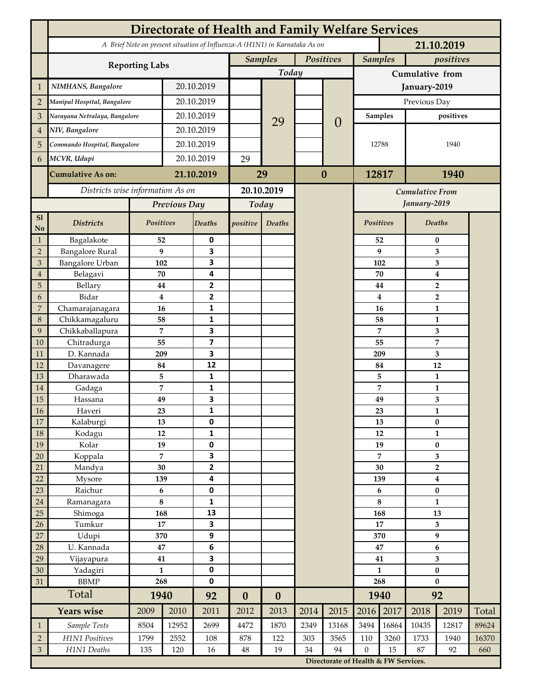|                 | <b>Directorate of Health and Family Welfare Services</b>                                 |                |            |                         |                  |                  |           |                                      |                  |                |                    |                                  |       |  |
|-----------------|------------------------------------------------------------------------------------------|----------------|------------|-------------------------|------------------|------------------|-----------|--------------------------------------|------------------|----------------|--------------------|----------------------------------|-------|--|
|                 | A Brief Note on present situation of Influenza-A (H1N1) in Karnataka As on<br>21.10.2019 |                |            |                         |                  |                  |           |                                      |                  |                |                    |                                  |       |  |
|                 | <b>Reporting Labs</b>                                                                    |                |            |                         | <b>Samples</b>   |                  | Positives |                                      |                  | <b>Samples</b> |                    | positives                        |       |  |
|                 |                                                                                          |                |            |                         |                  | Today            |           |                                      | Cumulative from  |                |                    |                                  |       |  |
| $\mathbf{1}$    | NIMHANS, Bangalore                                                                       | 20.10.2019     |            |                         |                  |                  |           | January-2019                         |                  |                |                    |                                  |       |  |
| $\overline{2}$  | Manipal Hospital, Bangalore                                                              |                | 20.10.2019 |                         |                  |                  |           |                                      | Previous Day     |                |                    |                                  |       |  |
| 3               | Narayana Netralaya, Bangalore                                                            |                |            | 20.10.2019              |                  |                  |           |                                      | Samples          |                | positives          |                                  |       |  |
| $\overline{4}$  | NIV, Bangalore                                                                           |                | 20.10.2019 |                         |                  | 29               |           | $\theta$                             |                  |                |                    |                                  |       |  |
| 5               | Commando Hospital, Bangalore                                                             |                | 20.10.2019 |                         |                  |                  |           |                                      | 12788            |                | 1940               |                                  |       |  |
| 6               | MCVR, Udupi                                                                              |                | 20.10.2019 |                         | 29               |                  |           |                                      |                  |                |                    |                                  |       |  |
|                 |                                                                                          |                |            | 21.10.2019              |                  |                  | $\bf{0}$  |                                      | 12817            |                | 1940               |                                  |       |  |
|                 | <b>Cumulative As on:</b>                                                                 |                |            |                         | 29               |                  |           |                                      |                  |                |                    |                                  |       |  |
|                 | Districts wise information As on                                                         |                |            | 20.10.2019              |                  |                  |           | <b>Cumulative From</b>               |                  |                |                    |                                  |       |  |
|                 |                                                                                          | Previous Day   |            | Today                   |                  |                  |           |                                      |                  |                | January-2019       |                                  |       |  |
| S1<br>No        | <b>Districts</b>                                                                         | Positives      |            | Deaths                  | positive         | Deaths           |           |                                      | Positives        |                |                    | Deaths                           |       |  |
| $\mathbf{1}$    | Bagalakote                                                                               | 52             |            | 0                       |                  |                  |           |                                      |                  | 52             | $\bf{0}$           |                                  |       |  |
| $\overline{2}$  | <b>Bangalore Rural</b>                                                                   | 9              |            | 3                       |                  |                  |           |                                      |                  | 9              | 3                  |                                  |       |  |
| 3               | Bangalore Urban                                                                          | 102            |            | 3                       |                  |                  |           |                                      |                  | 102            | 3                  |                                  |       |  |
| $\overline{4}$  | Belagavi                                                                                 | 70             |            | 4                       |                  |                  |           |                                      |                  | 70             | $\boldsymbol{4}$   |                                  |       |  |
| 5<br>6          | Bellary<br>Bidar                                                                         | 44<br>$\bf{4}$ |            | 2<br>$\mathbf{2}$       |                  |                  |           |                                      |                  | 44<br>4        |                    | $\overline{2}$<br>$\overline{2}$ |       |  |
| 7               | Chamarajanagara                                                                          | 16             |            | 1                       |                  |                  |           |                                      |                  | 16             |                    | 1                                |       |  |
| 8               | Chikkamagaluru                                                                           | 58             |            | 1                       |                  |                  |           |                                      |                  | 58             |                    | 1                                |       |  |
| 9               | Chikkaballapura                                                                          | 7              |            | 3                       |                  |                  |           |                                      |                  | 7              |                    | 3                                |       |  |
| 10              | Chitradurga                                                                              | 55             |            | $\overline{\mathbf{z}}$ |                  |                  |           |                                      |                  | 55             |                    | 7                                |       |  |
| 11              | D. Kannada                                                                               | 209            |            | 3                       |                  |                  |           |                                      |                  | 209            |                    | 3                                |       |  |
| 12              | Davanagere                                                                               | 84             |            | 12                      |                  |                  |           |                                      |                  | 84             |                    | 12                               |       |  |
| 13              | Dharawada                                                                                | 5              |            | $\mathbf{1}$            |                  |                  |           |                                      |                  | 5              |                    | $\mathbf{1}$                     |       |  |
| 14              | Gadaga                                                                                   | 7              |            | 1<br>3                  |                  |                  |           |                                      |                  | 7              |                    | 1                                |       |  |
| 15<br><b>16</b> | Hassana<br>Haveri                                                                        | 49<br>23       |            | 1                       |                  |                  |           |                                      |                  | 49<br>23       |                    | 3<br>1                           |       |  |
| 17              | Kalaburgi                                                                                | 13             |            | 0                       |                  |                  |           |                                      |                  | 13             | $\pmb{0}$          |                                  |       |  |
| 18              | Kodagu                                                                                   | 12             |            | $\mathbf{1}$            |                  |                  |           |                                      |                  | 12             |                    | $\mathbf{1}$                     |       |  |
| 19              | Kolar                                                                                    | 19             |            | 0                       |                  |                  |           |                                      |                  | 19             | $\pmb{0}$          |                                  |       |  |
| 20              | Koppala                                                                                  | $\overline{7}$ |            | 3                       |                  |                  |           |                                      |                  | 7              |                    | 3                                |       |  |
| 21              | Mandya                                                                                   | $30\,$         |            | $\mathbf{2}$<br>4       |                  |                  |           |                                      |                  | 30             | $\mathbf 2$        |                                  |       |  |
| 22              | Mysore                                                                                   |                | 139        |                         |                  |                  |           |                                      | 139              |                | $\boldsymbol{4}$   |                                  |       |  |
| 23              | Raichur                                                                                  | $\bf 6$        |            | $\pmb{0}$               |                  |                  |           |                                      |                  | 6              |                    | $\pmb{0}$                        |       |  |
| $24\,$<br>25    | Ramanagara                                                                               | $\bf 8$<br>168 |            | 1<br>13                 |                  |                  |           |                                      | 8<br>168         |                | $\mathbf{1}$<br>13 |                                  |       |  |
| 26              | Shimoga<br>Tumkur                                                                        | 17             |            | 3                       |                  |                  |           |                                      | 17               |                | 3                  |                                  |       |  |
| 27              | Udupi                                                                                    | 370            |            | 9                       |                  |                  |           |                                      |                  | 370            | $\boldsymbol{9}$   |                                  |       |  |
| 28              | U. Kannada                                                                               | $\bf 47$       |            | $\bf 6$                 |                  |                  |           |                                      | 47               |                | $\bf 6$            |                                  |       |  |
| 29              | Vijayapura                                                                               | 41             |            | 3                       |                  |                  |           |                                      |                  | 41             |                    | $\overline{\mathbf{3}}$          |       |  |
| 30              | Yadagiri                                                                                 | $\mathbf{1}$   |            | 0                       |                  |                  |           |                                      | $\mathbf{1}$     |                | $\pmb{0}$          |                                  |       |  |
| 31              | <b>BBMP</b>                                                                              |                | 268        | 0                       |                  |                  |           |                                      | 268              |                | $\bf{0}$           |                                  |       |  |
|                 | Total                                                                                    | 1940           |            | 92                      | $\boldsymbol{0}$ | $\boldsymbol{0}$ |           |                                      |                  | 1940           | 92                 |                                  |       |  |
|                 | <b>Years wise</b>                                                                        | 2009           | 2010       | 2011                    | 2012             | 2013             | 2014      | 2015                                 | 2016             | 2017           | 2018               | 2019                             | Total |  |
| $\mathbf{1}$    | Sample Tests                                                                             | 8504           | 12952      | 2699                    | 4472             | 1870             | 2349      | 13168                                | 3494             | 16864          | 10435              | 12817                            | 89624 |  |
| $\overline{2}$  | H1N1 Positives                                                                           | 1799           | 2552       | 108                     | 878              | 122              | 303       | 3565                                 | 110              | 3260           | 1733               | 1940                             | 16370 |  |
| $\mathfrak{Z}$  | H1N1 Deaths                                                                              | 135            | 120        | 16                      | $48\,$           | 19               | 34        | 94                                   | $\boldsymbol{0}$ | 15             | 87                 | 92                               | 660   |  |
|                 |                                                                                          |                |            |                         |                  |                  |           | Directorate of Health & FW Services. |                  |                |                    |                                  |       |  |